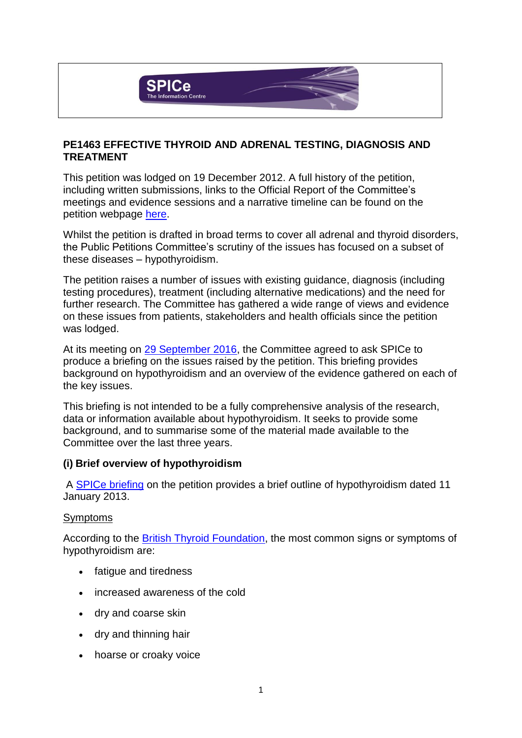

## **PE1463 EFFECTIVE THYROID AND ADRENAL TESTING, DIAGNOSIS AND TREATMENT**

This petition was lodged on 19 December 2012. A full history of the petition, including written submissions, links to the Official Report of the Committee's meetings and evidence sessions and a narrative timeline can be found on the petition webpage [here.](http://external.parliament.scot/gettinginvolved/petitions/PE01463)

Whilst the petition is drafted in broad terms to cover all adrenal and thyroid disorders, the Public Petitions Committee's scrutiny of the issues has focused on a subset of these diseases – hypothyroidism.

The petition raises a number of issues with existing guidance, diagnosis (including testing procedures), treatment (including alternative medications) and the need for further research. The Committee has gathered a wide range of views and evidence on these issues from patients, stakeholders and health officials since the petition was lodged.

At its meeting on [29 September 2016,](http://www.parliament.scot/parliamentarybusiness/report.aspx?r=10557) the Committee agreed to ask SPICe to produce a briefing on the issues raised by the petition. This briefing provides background on hypothyroidism and an overview of the evidence gathered on each of the key issues.

This briefing is not intended to be a fully comprehensive analysis of the research, data or information available about hypothyroidism. It seeks to provide some background, and to summarise some of the material made available to the Committee over the last three years.

#### **(i) Brief overview of hypothyroidism**

A [SPICe briefing](http://external.parliament.scot/ResearchBriefingsAndFactsheets/PB13-1463.pdf) on the petition provides a brief outline of hypothyroidism dated 11 January 2013.

#### Symptoms

According to the [British Thyroid Foundation,](http://www.btf-thyroid.org/information/leaflets/29-hypothyroidism-guide) the most common signs or symptoms of hypothyroidism are:

- fatigue and tiredness
- increased awareness of the cold
- dry and coarse skin
- dry and thinning hair
- hoarse or croaky voice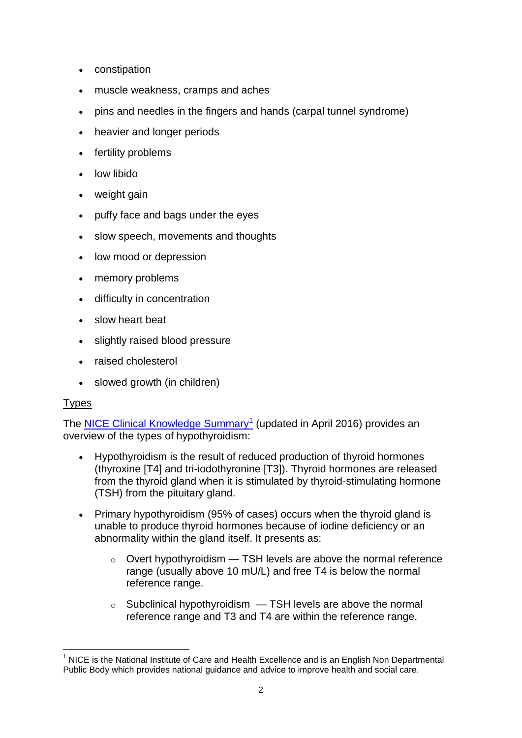- constipation
- muscle weakness, cramps and aches
- pins and needles in the fingers and hands (carpal tunnel syndrome)
- heavier and longer periods
- fertility problems
- low libido
- weight gain
- puffy face and bags under the eyes
- slow speech, movements and thoughts
- low mood or depression
- memory problems
- difficulty in concentration
- slow heart beat
- slightly raised blood pressure
- raised cholesterol
- slowed growth (in children)

# **Types**

The **NICE Clinical Knowledge Summary**<sup>1</sup> (updated in April 2016) provides an overview of the types of hypothyroidism:

- Hypothyroidism is the result of reduced production of thyroid hormones (thyroxine [T4] and tri-iodothyronine [T3]). Thyroid hormones are released from the thyroid gland when it is stimulated by thyroid-stimulating hormone (TSH) from the pituitary gland.
- Primary hypothyroidism (95% of cases) occurs when the thyroid gland is unable to produce thyroid hormones because of iodine deficiency or an abnormality within the gland itself. It presents as:
	- $\circ$  Overt hypothyroidism  $-$  TSH levels are above the normal reference range (usually above 10 mU/L) and free T4 is below the normal reference range.
	- $\circ$  Subclinical hypothyroidism  $-$  TSH levels are above the normal reference range and T3 and T4 are within the reference range.

<sup>1</sup> <sup>1</sup> NICE is the National Institute of Care and Health Excellence and is an English Non Departmental Public Body which provides national guidance and advice to improve health and social care.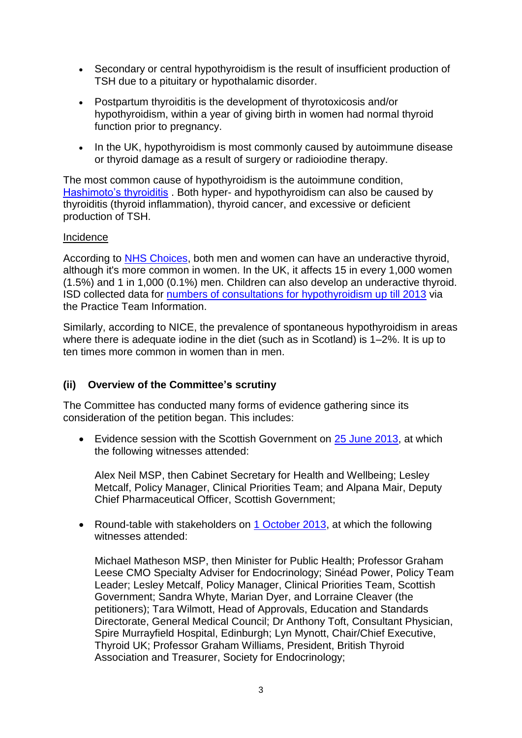- Secondary or central hypothyroidism is the result of insufficient production of TSH due to a pituitary or hypothalamic disorder.
- Postpartum thyroiditis is the development of thyrotoxicosis and/or hypothyroidism, within a year of giving birth in women had normal thyroid function prior to pregnancy.
- In the UK, hypothyroidism is most commonly caused by autoimmune disease or thyroid damage as a result of surgery or radioiodine therapy.

The most common cause of hypothyroidism is the autoimmune condition, [Hashimoto's thyroiditis](http://labtestsonline.org.uk/understanding/conditions/hashimoto) . Both hyper- and hypothyroidism can also be caused by thyroiditis (thyroid inflammation), thyroid cancer, and excessive or deficient production of TSH.

### Incidence

According to [NHS Choices,](http://www.nhs.uk/conditions/Thyroid-under-active/Pages/Introduction.aspx) both men and women can have an underactive thyroid, although it's more common in women. In the UK, it affects 15 in every 1,000 women (1.5%) and 1 in 1,000 (0.1%) men. Children can also develop an underactive thyroid. ISD collected data for [numbers of consultations for hypothyroidism up till 2013](http://www.isdscotland.org/Health-Topics/General-Practice/GP-consultations/Health-Conditions/Hypothyroidism/) via the Practice Team Information.

Similarly, according to NICE, the prevalence of spontaneous hypothyroidism in areas where there is adequate iodine in the diet (such as in Scotland) is 1–2%. It is up to ten times more common in women than in men.

# **(ii) Overview of the Committee's scrutiny**

The Committee has conducted many forms of evidence gathering since its consideration of the petition began. This includes:

• Evidence session with the Scottish Government on [25 June 2013,](http://www.scottish.parliament.uk/parliamentarybusiness/report.aspx?r=8408&mode=pdf) at which the following witnesses attended:

Alex Neil MSP, then Cabinet Secretary for Health and Wellbeing; Lesley Metcalf, Policy Manager, Clinical Priorities Team; and Alpana Mair, Deputy Chief Pharmaceutical Officer, Scottish Government;

• Round-table with stakeholders on [1 October 2013,](http://www.scottish.parliament.uk/parliamentarybusiness/report.aspx?r=8776&mode=pdf) at which the following witnesses attended:

Michael Matheson MSP, then Minister for Public Health; Professor Graham Leese CMO Specialty Adviser for Endocrinology; Sinéad Power, Policy Team Leader; Lesley Metcalf, Policy Manager, Clinical Priorities Team, Scottish Government; Sandra Whyte, Marian Dyer, and Lorraine Cleaver (the petitioners); Tara Wilmott, Head of Approvals, Education and Standards Directorate, General Medical Council; Dr Anthony Toft, Consultant Physician, Spire Murrayfield Hospital, Edinburgh; Lyn Mynott, Chair/Chief Executive, Thyroid UK; Professor Graham Williams, President, British Thyroid Association and Treasurer, Society for Endocrinology;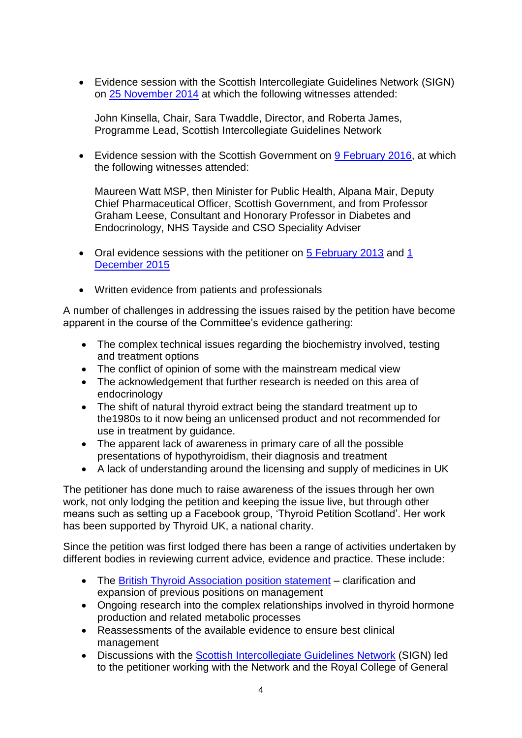Evidence session with the Scottish Intercollegiate Guidelines Network (SIGN) on [25 November 2014](http://www.scottish.parliament.uk/parliamentarybusiness/report.aspx?r=9662&i=87750) at which the following witnesses attended:

John Kinsella, Chair, Sara Twaddle, Director, and Roberta James, Programme Lead, Scottish Intercollegiate Guidelines Network

• Evidence session with the Scottish Government on  $9$  February 2016, at which the following witnesses attended:

Maureen Watt MSP, then Minister for Public Health, Alpana Mair, Deputy Chief Pharmaceutical Officer, Scottish Government, and from Professor Graham Leese, Consultant and Honorary Professor in Diabetes and Endocrinology, NHS Tayside and CSO Speciality Adviser

- Oral evidence sessions with the petitioner on  $5$  February 2013 and 1 [December 2015](http://www.scottish.parliament.uk/parliamentarybusiness/report.aspx?r=10253&i=94358#ScotParlOR)
- Written evidence from patients and professionals

A number of challenges in addressing the issues raised by the petition have become apparent in the course of the Committee's evidence gathering:

- The complex technical issues regarding the biochemistry involved, testing and treatment options
- The conflict of opinion of some with the mainstream medical view
- The acknowledgement that further research is needed on this area of endocrinology
- The shift of natural thyroid extract being the standard treatment up to the1980s to it now being an unlicensed product and not recommended for use in treatment by guidance.
- The apparent lack of awareness in primary care of all the possible presentations of hypothyroidism, their diagnosis and treatment
- A lack of understanding around the licensing and supply of medicines in UK

The petitioner has done much to raise awareness of the issues through her own work, not only lodging the petition and keeping the issue live, but through other means such as setting up a Facebook group, ‗Thyroid Petition Scotland'. Her work has been supported by Thyroid UK, a national charity.

Since the petition was first lodged there has been a range of activities undertaken by different bodies in reviewing current advice, evidence and practice. These include:

- The [British Thyroid Association position](http://onlinelibrary.wiley.com/doi/10.1111/cen.12824/full) statement clarification and expansion of previous positions on management
- Ongoing research into the complex relationships involved in thyroid hormone production and related metabolic processes
- Reassessments of the available evidence to ensure best clinical management
- Discussions with the [Scottish Intercollegiate Guidelines](http://www.sign.ac.uk/index.html) Network (SIGN) led to the petitioner working with the Network and the Royal College of General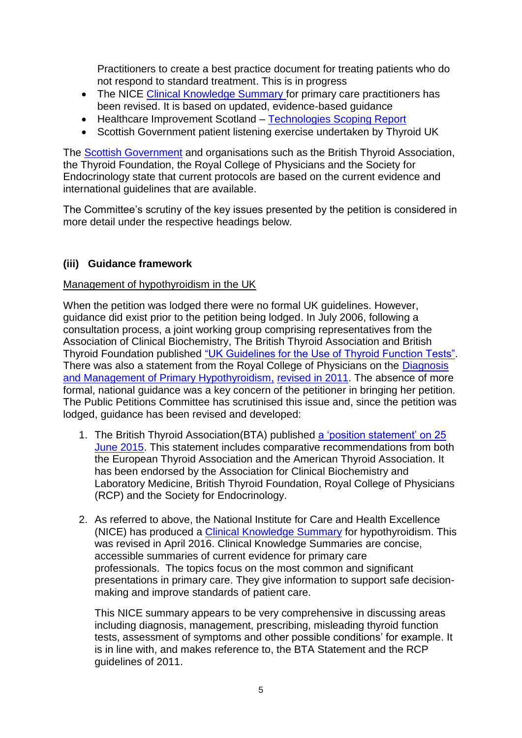Practitioners to create a best practice document for treating patients who do not respond to standard treatment. This is in progress

- The NICE [Clinical Knowledge Summary](http://cks.nice.org.uk/hypothyroidism) for primary care practitioners has been revised. It is based on updated, evidence-based guidance
- Healthcare Improvement Scotland [Technologies Scoping Report](file:///C:/temp/Hypothyroidism.pdf)
- Scottish Government patient listening exercise undertaken by Thyroid UK

The [Scottish Government](http://external.parliament.scot/S5_PublicPetitionsCommittee/Petitions/PE146320160704HealthcareQualityandStrategyDirectorateResponse.pdf) and organisations such as the British Thyroid Association, the Thyroid Foundation, the Royal College of Physicians and the Society for Endocrinology state that current protocols are based on the current evidence and international guidelines that are available.

The Committee's scrutiny of the key issues presented by the petition is considered in more detail under the respective headings below.

# **(iii) Guidance framework**

### Management of hypothyroidism in the UK

When the petition was lodged there were no formal UK guidelines. However, guidance did exist prior to the petition being lodged. In July 2006, following a consultation process, a joint working group comprising representatives from the Association of Clinical Biochemistry, The British Thyroid Association and British Thyroid Foundation published "UK Guidelines for the Use of Thyroid Function Tests". There was also a statement from the Royal College of Physicians on the Diagnosis [and Management of Primary Hypothyroidism,](http://british-thyroid-association.org/news/Docs/hypothyroidism_statement.pdf) [revised in 2011.](http://www.thyroiduk.org.uk/tuk/guidelines/RCP_statement_20111.pdf) The absence of more formal, national guidance was a key concern of the petitioner in bringing her petition. The Public Petitions Committee has scrutinised this issue and, since the petition was lodged, guidance has been revised and developed:

- 1. The British Thyroid Association(BTA) published a 'position statement' on 25 [June 2015.](http://onlinelibrary.wiley.com/doi/10.1111/cen.12824/full) This statement includes comparative recommendations from both the European Thyroid Association and the American Thyroid Association. It has been endorsed by the Association for Clinical Biochemistry and Laboratory Medicine, British Thyroid Foundation, Royal College of Physicians (RCP) and the Society for Endocrinology.
- 2. As referred to above, the National Institute for Care and Health Excellence (NICE) has produced a [Clinical Knowledge Summary](http://cks.nice.org.uk/hypothyroidism) for hypothyroidism. This was revised in April 2016. Clinical Knowledge Summaries are concise, accessible summaries of current evidence for primary care professionals. The topics focus on the most common and significant presentations in primary care. They give information to support safe decisionmaking and improve standards of patient care.

This NICE summary appears to be very comprehensive in discussing areas including diagnosis, management, prescribing, misleading thyroid function tests, assessment of symptoms and other possible conditions' for example. It is in line with, and makes reference to, the BTA Statement and the RCP guidelines of 2011.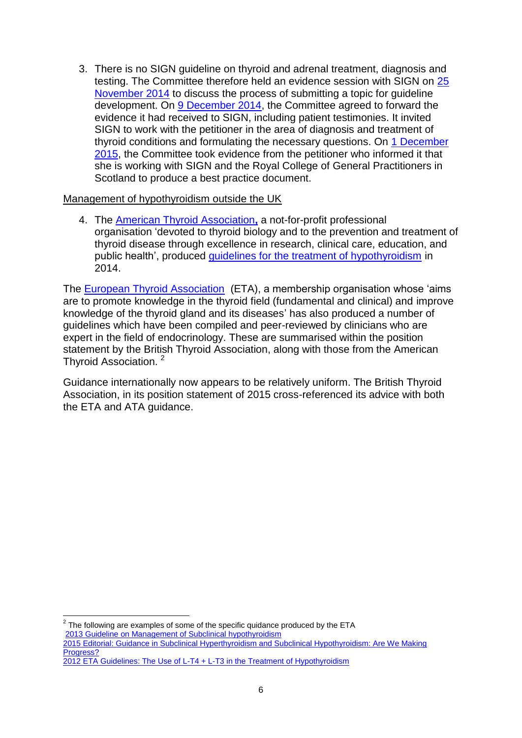3. There is no SIGN guideline on thyroid and adrenal treatment, diagnosis and testing. The Committee therefore held an evidence session with SIGN on [25](http://www.scottish.parliament.uk/parliamentarybusiness/report.aspx?r=9662&i=87750)  [November 2014](http://www.scottish.parliament.uk/parliamentarybusiness/report.aspx?r=9662&i=87750) to discuss the process of submitting a topic for guideline development. On [9 December 2014,](http://www.scottish.parliament.uk/parliamentarybusiness/report.aspx?r=9693&i=88087) the Committee agreed to forward the evidence it had received to SIGN, including patient testimonies. It invited SIGN to work with the petitioner in the area of diagnosis and treatment of thyroid conditions and formulating the necessary questions. On [1 December](http://www.scottish.parliament.uk/parliamentarybusiness/report.aspx?r=10253&i=94358#ScotParlOR)  [2015,](http://www.scottish.parliament.uk/parliamentarybusiness/report.aspx?r=10253&i=94358#ScotParlOR) the Committee took evidence from the petitioner who informed it that she is working with SIGN and the Royal College of General Practitioners in Scotland to produce a best practice document.

#### Management of hypothyroidism outside the UK

4. The [American Thyroid Association](http://www.thyroid.org/)**,** a not-for-profit professional organisation ‗devoted to thyroid biology and to the prevention and treatment of thyroid disease through excellence in research, clinical care, education, and public health', produced [guidelines for the treatment of hypothyroidism](http://online.liebertpub.com/doi/pdfplus/10.1089/thy.2014.0028) in 2014.

The [European Thyroid Association](http://www.eurothyroid.com/) (ETA), a membership organisation whose 'aims are to promote knowledge in the thyroid field (fundamental and clinical) and improve knowledge of the thyroid gland and its diseases' has also produced a number of guidelines which have been compiled and peer-reviewed by clinicians who are expert in the field of endocrinology. These are summarised within the position statement by the British Thyroid Association, along with those from the American Thyroid Association. <sup>2</sup>

Guidance internationally now appears to be relatively uniform. The British Thyroid Association, in its position statement of 2015 cross-referenced its advice with both the ETA and ATA guidance.

 2 The following are examples of some of the specific quidance produced by the ETA 2013 Guideline [on Management of Subclinical hypothyroidism](http://www.eurothyroid.com/files/download/ETA-Guideline-Management-of-Subclinical-Hypothyroidism.pdf) [2015 Editorial: Guidance in Subclinical Hyperthyroidism and Subclinical Hypothyroidism: Are We Making](http://www.eurothyroid.com/files/download/Wiersinga-EDITORIAL-ETJ-2015-4-438909.pdf)  [Progress?](http://www.eurothyroid.com/files/download/Wiersinga-EDITORIAL-ETJ-2015-4-438909.pdf) [2012 ETA Guidelines: The Use of L-T4 + L-T3 in the Treatment of Hypothyroidism](file:///C:/Users/s804240/AppData/Local/Microsoft/Windows/Temporary%20Internet%20Files/Content.Outlook/W726M51Z/2012%20ETA%20Guidelines:%20The%20Use%20of%20L-T4%20+%20L-T3%20in%20the%20Treatment%20of%20Hypothyroidism)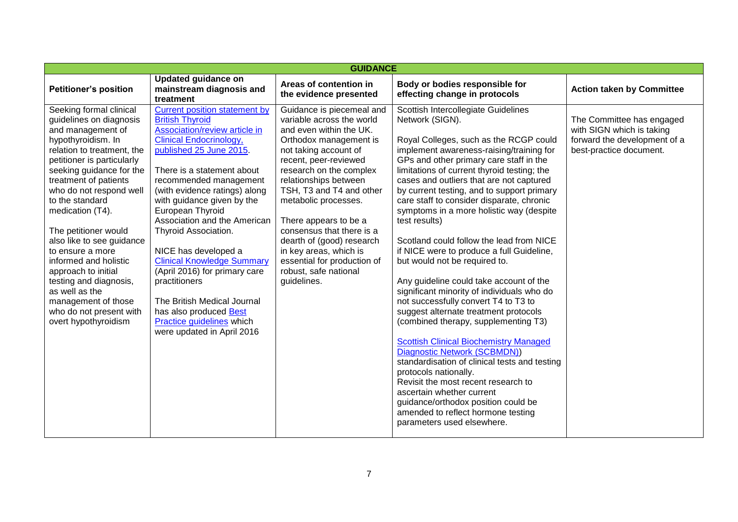| <b>GUIDANCE</b>                                                                                                                                                                                                                                                                                                                                                                                                                                                                                                                 |                                                                                                                                                                                                                                                                                                                                                                                                                                                                                                                                                                                                    |                                                                                                                                                                                                                                                                                                                                                                                                                                                           |                                                                                                                                                                                                                                                                                                                                                                                                                                                                                                                                                                                                                                                                                                                                                                                                                                                                                                                                                                                                                                                                                                                                  |                                                                                                                   |  |
|---------------------------------------------------------------------------------------------------------------------------------------------------------------------------------------------------------------------------------------------------------------------------------------------------------------------------------------------------------------------------------------------------------------------------------------------------------------------------------------------------------------------------------|----------------------------------------------------------------------------------------------------------------------------------------------------------------------------------------------------------------------------------------------------------------------------------------------------------------------------------------------------------------------------------------------------------------------------------------------------------------------------------------------------------------------------------------------------------------------------------------------------|-----------------------------------------------------------------------------------------------------------------------------------------------------------------------------------------------------------------------------------------------------------------------------------------------------------------------------------------------------------------------------------------------------------------------------------------------------------|----------------------------------------------------------------------------------------------------------------------------------------------------------------------------------------------------------------------------------------------------------------------------------------------------------------------------------------------------------------------------------------------------------------------------------------------------------------------------------------------------------------------------------------------------------------------------------------------------------------------------------------------------------------------------------------------------------------------------------------------------------------------------------------------------------------------------------------------------------------------------------------------------------------------------------------------------------------------------------------------------------------------------------------------------------------------------------------------------------------------------------|-------------------------------------------------------------------------------------------------------------------|--|
| <b>Petitioner's position</b>                                                                                                                                                                                                                                                                                                                                                                                                                                                                                                    | <b>Updated guidance on</b><br>mainstream diagnosis and<br>treatment                                                                                                                                                                                                                                                                                                                                                                                                                                                                                                                                | Areas of contention in<br>the evidence presented                                                                                                                                                                                                                                                                                                                                                                                                          | Body or bodies responsible for<br>effecting change in protocols                                                                                                                                                                                                                                                                                                                                                                                                                                                                                                                                                                                                                                                                                                                                                                                                                                                                                                                                                                                                                                                                  | <b>Action taken by Committee</b>                                                                                  |  |
| Seeking formal clinical<br>guidelines on diagnosis<br>and management of<br>hypothyroidism. In<br>relation to treatment, the<br>petitioner is particularly<br>seeking guidance for the<br>treatment of patients<br>who do not respond well<br>to the standard<br>medication (T4).<br>The petitioner would<br>also like to see guidance<br>to ensure a more<br>informed and holistic<br>approach to initial<br>testing and diagnosis,<br>as well as the<br>management of those<br>who do not present with<br>overt hypothyroidism | <b>Current position statement by</b><br><b>British Thyroid</b><br>Association/review article in<br><b>Clinical Endocrinology,</b><br>published 25 June 2015.<br>There is a statement about<br>recommended management<br>(with evidence ratings) along<br>with guidance given by the<br>European Thyroid<br>Association and the American<br>Thyroid Association.<br>NICE has developed a<br><b>Clinical Knowledge Summary</b><br>(April 2016) for primary care<br>practitioners<br>The British Medical Journal<br>has also produced Best<br>Practice guidelines which<br>were updated in April 2016 | Guidance is piecemeal and<br>variable across the world<br>and even within the UK.<br>Orthodox management is<br>not taking account of<br>recent, peer-reviewed<br>research on the complex<br>relationships between<br>TSH, T3 and T4 and other<br>metabolic processes.<br>There appears to be a<br>consensus that there is a<br>dearth of (good) research<br>in key areas, which is<br>essential for production of<br>robust, safe national<br>guidelines. | Scottish Intercollegiate Guidelines<br>Network (SIGN).<br>Royal Colleges, such as the RCGP could<br>implement awareness-raising/training for<br>GPs and other primary care staff in the<br>limitations of current thyroid testing; the<br>cases and outliers that are not captured<br>by current testing, and to support primary<br>care staff to consider disparate, chronic<br>symptoms in a more holistic way (despite<br>test results)<br>Scotland could follow the lead from NICE<br>if NICE were to produce a full Guideline,<br>but would not be required to.<br>Any guideline could take account of the<br>significant minority of individuals who do<br>not successfully convert T4 to T3 to<br>suggest alternate treatment protocols<br>(combined therapy, supplementing T3)<br><b>Scottish Clinical Biochemistry Managed</b><br>Diagnostic Network (SCBMDN))<br>standardisation of clinical tests and testing<br>protocols nationally.<br>Revisit the most recent research to<br>ascertain whether current<br>guidance/orthodox position could be<br>amended to reflect hormone testing<br>parameters used elsewhere. | The Committee has engaged<br>with SIGN which is taking<br>forward the development of a<br>best-practice document. |  |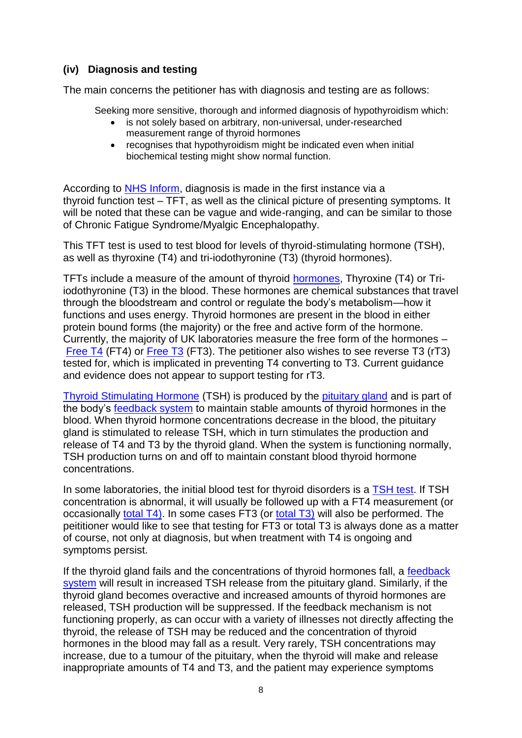# **(iv) Diagnosis and testing**

The main concerns the petitioner has with diagnosis and testing are as follows:

Seeking more sensitive, thorough and informed diagnosis of hypothyroidism which:

- is not solely based on arbitrary, non-universal, under-researched measurement range of thyroid hormones
- recognises that hypothyroidism might be indicated even when initial biochemical testing might show normal function.

According to [NHS Inform,](http://www.nhsinform.co.uk/health-library/articles/t/thyroid-under-active/diagnosis/) diagnosis is made in the first instance via a thyroid function test – TFT, as well as the clinical picture of presenting symptoms. It will be noted that these can be vague and wide-ranging, and can be similar to those of Chronic Fatigue Syndrome/Myalgic Encephalopathy.

This TFT test is used to test blood for levels of thyroid-stimulating hormone (TSH), as well as thyroxine (T4) and tri-iodothyronine (T3) (thyroid hormones).

TFTs include a measure of the amount of thyroid [hormones,](http://labtestsonline.org.uk/glossary/hormone) Thyroxine (T4) or Triiodothyronine (T3) in the blood. These hormones are chemical substances that travel through the bloodstream and control or regulate the body's metabolism—how it functions and uses energy. Thyroid hormones are present in the blood in either protein bound forms (the majority) or the free and active form of the hormone. Currently, the majority of UK laboratories measure the free form of the hormones – [Free T4](http://labtestsonline.org.uk/understanding/analytes/t4) (FT4) or [Free T3](http://labtestsonline.org.uk/understanding/analytes/t3) (FT3). The petitioner also wishes to see reverse T3 (rT3) tested for, which is implicated in preventing T4 converting to T3. Current guidance and evidence does not appear to support testing for rT3.

[Thyroid Stimulating Hormone](http://labtestsonline.org.uk/understanding/analytes/tsh) (TSH) is produced by the [pituitary gland](http://labtestsonline.org.uk/glossary/pituitary) and is part of the body's [feedback system](http://labtestsonline.org.uk/glossary/feedback) to maintain stable amounts of thyroid hormones in the blood. When thyroid hormone concentrations decrease in the blood, the pituitary gland is stimulated to release TSH, which in turn stimulates the production and release of T4 and T3 by the thyroid gland. When the system is functioning normally, TSH production turns on and off to maintain constant blood thyroid hormone concentrations.

In some laboratories, the initial blood test for thyroid disorders is a [TSH test.](http://labtestsonline.org.uk/understanding/analytes/tsh) If TSH concentration is abnormal, it will usually be followed up with a FT4 measurement (or occasionally [total T4\).](http://labtestsonline.org.uk/understanding/analytes/t4) In some cases FT3 (or [total T3\)](http://labtestsonline.org.uk/understanding/analytes/t3) will also be performed. The peititioner would like to see that testing for FT3 or total T3 is always done as a matter of course, not only at diagnosis, but when treatment with T4 is ongoing and symptoms persist.

If the thyroid gland fails and the concentrations of thyroid hormones fall, a feedback [system](http://labtestsonline.org.uk/glossary/feedback) will result in increased TSH release from the pituitary gland. Similarly, if the thyroid gland becomes overactive and increased amounts of thyroid hormones are released, TSH production will be suppressed. If the feedback mechanism is not functioning properly, as can occur with a variety of illnesses not directly affecting the thyroid, the release of TSH may be reduced and the concentration of thyroid hormones in the blood may fall as a result. Very rarely, TSH concentrations may increase, due to a tumour of the pituitary, when the thyroid will make and release inappropriate amounts of T4 and T3, and the patient may experience symptoms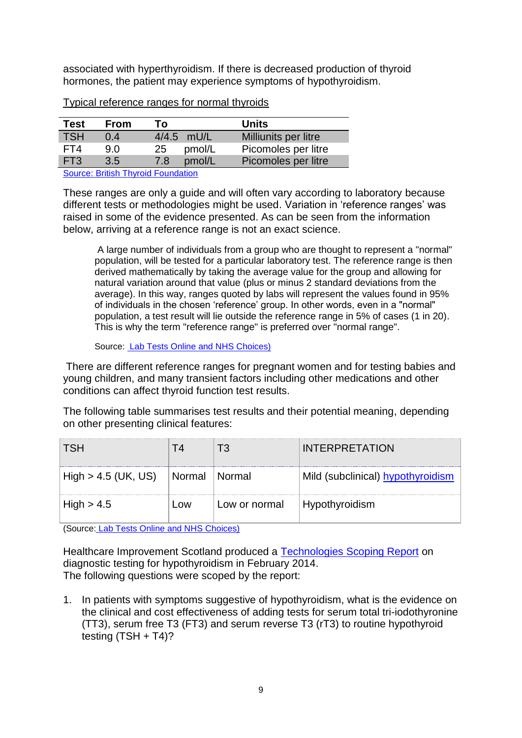associated with hyperthyroidism. If there is decreased production of thyroid hormones, the patient may experience symptoms of hypothyroidism.

| Test       | <b>From</b> | Т٥  |            | <b>Units</b>         |
|------------|-------------|-----|------------|----------------------|
| <b>TSH</b> | 0.4         |     | 4/4.5 mU/L | Milliunits per litre |
| FT4        | 9.0         | 25  | pmol/L     | Picomoles per litre  |
| FT3        | 3.5         | 7.8 | pmol/L     | Picomoles per litre  |

Typical reference ranges for normal thyroids

[Source: British Thyroid Foundation](http://www.btf-thyroid.org/information/quick-guides/97-thyroid-function-tests)

These ranges are only a guide and will often vary according to laboratory because different tests or methodologies might be used. Variation in 'reference ranges' was raised in some of the evidence presented. As can be seen from the information below, arriving at a reference range is not an exact science.

A large number of individuals from a group who are thought to represent a "normal" population, will be tested for a particular laboratory test. The reference range is then derived mathematically by taking the average value for the group and allowing for natural variation around that value (plus or minus 2 standard deviations from the average). In this way, ranges quoted by labs will represent the values found in 95% of individuals in the chosen 'reference' group. In other words, even in a "normal" population, a test result will lie outside the reference range in 5% of cases (1 in 20). This is why the term "reference range" is preferred over "normal range".

Source: [Lab Tests Online and NHS Choices\)](http://labtestsonline.org.uk/understanding/features/ref-ranges.html)

There are different reference ranges for pregnant women and for testing babies and young children, and many transient factors including other medications and other conditions can affect thyroid function test results.

The following table summarises test results and their potential meaning, depending on other presenting clinical features:

|                       |                 |               | <b>INTERPRETATION</b>             |
|-----------------------|-----------------|---------------|-----------------------------------|
| $High > 4.5$ (UK, US) | Normal   Normal |               | Mild (subclinical) hypothyroidism |
| High > 4.5            | ∟ow             | Low or normal | Hypothyroidism                    |

(Source: [Lab Tests Online and NHS Choices\)](http://labtestsonline.org.uk/understanding/features/ref-ranges.html)

Healthcare Improvement Scotland produced a [Technologies Scoping Report](file:///C:/temp/Hypothyroidism.pdf) on diagnostic testing for hypothyroidism in February 2014. The following questions were scoped by the report:

1. In patients with symptoms suggestive of hypothyroidism, what is the evidence on the clinical and cost effectiveness of adding tests for serum total tri-iodothyronine (TT3), serum free T3 (FT3) and serum reverse T3 (rT3) to routine hypothyroid testing  $(TSH + T4)$ ?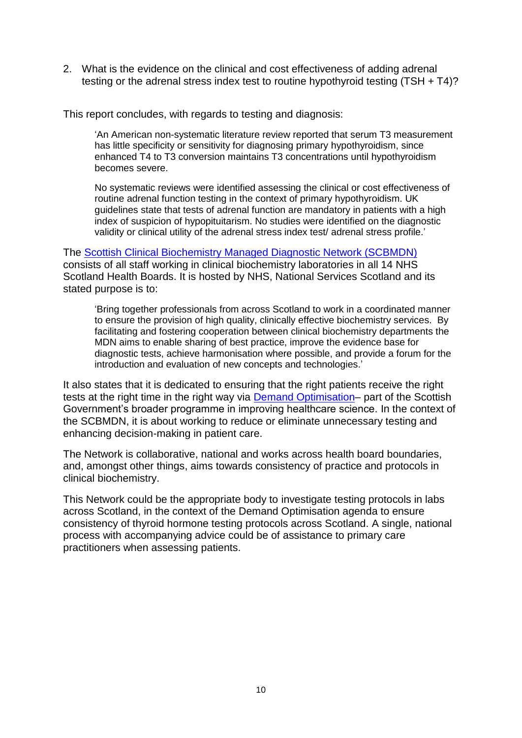2. What is the evidence on the clinical and cost effectiveness of adding adrenal testing or the adrenal stress index test to routine hypothyroid testing (TSH + T4)?

This report concludes, with regards to testing and diagnosis:

‗An American non-systematic literature review reported that serum T3 measurement has little specificity or sensitivity for diagnosing primary hypothyroidism, since enhanced T4 to T3 conversion maintains T3 concentrations until hypothyroidism becomes severe.

No systematic reviews were identified assessing the clinical or cost effectiveness of routine adrenal function testing in the context of primary hypothyroidism. UK guidelines state that tests of adrenal function are mandatory in patients with a high index of suspicion of hypopituitarism. No studies were identified on the diagnostic validity or clinical utility of the adrenal stress index test/ adrenal stress profile.'

The [Scottish Clinical Biochemistry Managed Diagnostic Network \(SCBMDN\)](http://www.mcns.scot.nhs.uk/scbmdn/about-scbmdn/) consists of all staff working in clinical biochemistry laboratories in all 14 NHS Scotland Health Boards. It is hosted by NHS, National Services Scotland and its stated purpose is to:

‗Bring together professionals from across Scotland to work in a coordinated manner to ensure the provision of high quality, clinically effective biochemistry services. By facilitating and fostering cooperation between clinical biochemistry departments the MDN aims to enable sharing of best practice, improve the evidence base for diagnostic tests, achieve harmonisation where possible, and provide a forum for the introduction and evaluation of new concepts and technologies.'

It also states that it is dedicated to ensuring that the right patients receive the right tests at the right time in the right way via **Demand Optimisation**– part of the Scottish Government's broader programme in improving healthcare science. In the context of the SCBMDN, it is about working to reduce or eliminate unnecessary testing and enhancing decision-making in patient care.

The Network is collaborative, national and works across health board boundaries, and, amongst other things, aims towards consistency of practice and protocols in clinical biochemistry.

This Network could be the appropriate body to investigate testing protocols in labs across Scotland, in the context of the Demand Optimisation agenda to ensure consistency of thyroid hormone testing protocols across Scotland. A single, national process with accompanying advice could be of assistance to primary care practitioners when assessing patients.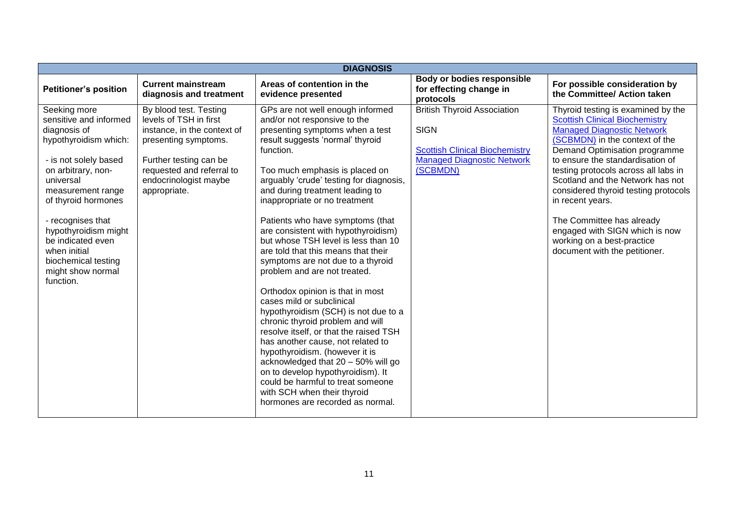| <b>DIAGNOSIS</b>                                                                                                                                                                                                                                                                                                                   |                                                                                                                                                                                                         |                                                                                                                                                                                                                                                                                                                                                                                                                                                                                                                                                                                                                                                                                                                                                                                                                                                                                                                                                                                      |                                                                                                                                             |                                                                                                                                                                                                                                                                                                                                                                                                                                                                                               |  |  |  |
|------------------------------------------------------------------------------------------------------------------------------------------------------------------------------------------------------------------------------------------------------------------------------------------------------------------------------------|---------------------------------------------------------------------------------------------------------------------------------------------------------------------------------------------------------|--------------------------------------------------------------------------------------------------------------------------------------------------------------------------------------------------------------------------------------------------------------------------------------------------------------------------------------------------------------------------------------------------------------------------------------------------------------------------------------------------------------------------------------------------------------------------------------------------------------------------------------------------------------------------------------------------------------------------------------------------------------------------------------------------------------------------------------------------------------------------------------------------------------------------------------------------------------------------------------|---------------------------------------------------------------------------------------------------------------------------------------------|-----------------------------------------------------------------------------------------------------------------------------------------------------------------------------------------------------------------------------------------------------------------------------------------------------------------------------------------------------------------------------------------------------------------------------------------------------------------------------------------------|--|--|--|
| <b>Petitioner's position</b>                                                                                                                                                                                                                                                                                                       | <b>Current mainstream</b><br>diagnosis and treatment                                                                                                                                                    | Areas of contention in the<br>evidence presented                                                                                                                                                                                                                                                                                                                                                                                                                                                                                                                                                                                                                                                                                                                                                                                                                                                                                                                                     | Body or bodies responsible<br>for effecting change in<br>protocols                                                                          | For possible consideration by<br>the Committee/ Action taken                                                                                                                                                                                                                                                                                                                                                                                                                                  |  |  |  |
| Seeking more<br>sensitive and informed<br>diagnosis of<br>hypothyroidism which:<br>- is not solely based<br>on arbitrary, non-<br>universal<br>measurement range<br>of thyroid hormones<br>- recognises that<br>hypothyroidism might<br>be indicated even<br>when initial<br>biochemical testing<br>might show normal<br>function. | By blood test. Testing<br>levels of TSH in first<br>instance, in the context of<br>presenting symptoms.<br>Further testing can be<br>requested and referral to<br>endocrinologist maybe<br>appropriate. | GPs are not well enough informed<br>and/or not responsive to the<br>presenting symptoms when a test<br>result suggests 'normal' thyroid<br>function.<br>Too much emphasis is placed on<br>arguably 'crude' testing for diagnosis,<br>and during treatment leading to<br>inappropriate or no treatment<br>Patients who have symptoms (that<br>are consistent with hypothyroidism)<br>but whose TSH level is less than 10<br>are told that this means that their<br>symptoms are not due to a thyroid<br>problem and are not treated.<br>Orthodox opinion is that in most<br>cases mild or subclinical<br>hypothyroidism (SCH) is not due to a<br>chronic thyroid problem and will<br>resolve itself, or that the raised TSH<br>has another cause, not related to<br>hypothyroidism. (however it is<br>acknowledged that 20 - 50% will go<br>on to develop hypothyroidism). It<br>could be harmful to treat someone<br>with SCH when their thyroid<br>hormones are recorded as normal. | <b>British Thyroid Association</b><br><b>SIGN</b><br><b>Scottish Clinical Biochemistry</b><br><b>Managed Diagnostic Network</b><br>(SCBMDN) | Thyroid testing is examined by the<br><b>Scottish Clinical Biochemistry</b><br><b>Managed Diagnostic Network</b><br>(SCBMDN) in the context of the<br>Demand Optimisation programme<br>to ensure the standardisation of<br>testing protocols across all labs in<br>Scotland and the Network has not<br>considered thyroid testing protocols<br>in recent years.<br>The Committee has already<br>engaged with SIGN which is now<br>working on a best-practice<br>document with the petitioner. |  |  |  |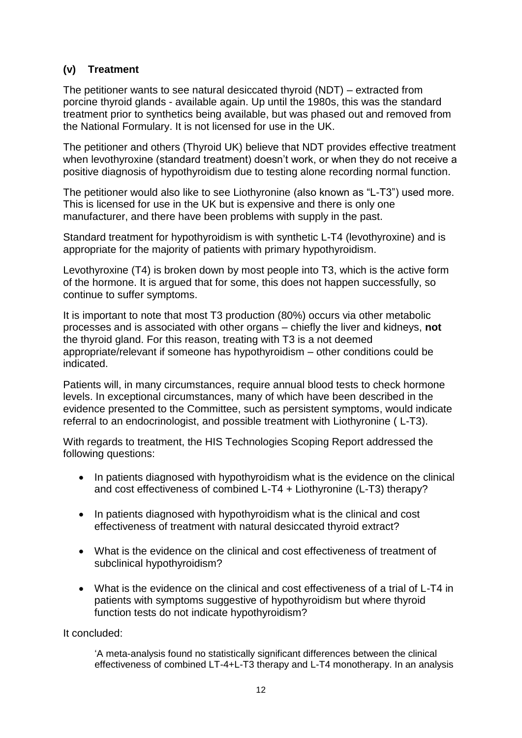# **(v) Treatment**

The petitioner wants to see natural desiccated thyroid (NDT) – extracted from porcine thyroid glands - available again. Up until the 1980s, this was the standard treatment prior to synthetics being available, but was phased out and removed from the National Formulary. It is not licensed for use in the UK.

The petitioner and others (Thyroid UK) believe that NDT provides effective treatment when levothyroxine (standard treatment) doesn't work, or when they do not receive a positive diagnosis of hypothyroidism due to testing alone recording normal function.

The petitioner would also like to see Liothyronine (also known as "L-T3") used more. This is licensed for use in the UK but is expensive and there is only one manufacturer, and there have been problems with supply in the past.

Standard treatment for hypothyroidism is with synthetic L-T4 (levothyroxine) and is appropriate for the majority of patients with primary hypothyroidism.

Levothyroxine (T4) is broken down by most people into T3, which is the active form of the hormone. It is argued that for some, this does not happen successfully, so continue to suffer symptoms.

It is important to note that most T3 production (80%) occurs via other metabolic processes and is associated with other organs – chiefly the liver and kidneys, **not** the thyroid gland. For this reason, treating with T3 is a not deemed appropriate/relevant if someone has hypothyroidism – other conditions could be indicated.

Patients will, in many circumstances, require annual blood tests to check hormone levels. In exceptional circumstances, many of which have been described in the evidence presented to the Committee, such as persistent symptoms, would indicate referral to an endocrinologist, and possible treatment with Liothyronine ( L-T3).

With regards to treatment, the HIS Technologies Scoping Report addressed the following questions:

- In patients diagnosed with hypothyroidism what is the evidence on the clinical and cost effectiveness of combined L-T4 + Liothyronine (L-T3) therapy?
- In patients diagnosed with hypothyroidism what is the clinical and cost effectiveness of treatment with natural desiccated thyroid extract?
- What is the evidence on the clinical and cost effectiveness of treatment of subclinical hypothyroidism?
- What is the evidence on the clinical and cost effectiveness of a trial of L-T4 in patients with symptoms suggestive of hypothyroidism but where thyroid function tests do not indicate hypothyroidism?

It concluded:

‗A meta-analysis found no statistically significant differences between the clinical effectiveness of combined LT-4+L-T3 therapy and L-T4 monotherapy. In an analysis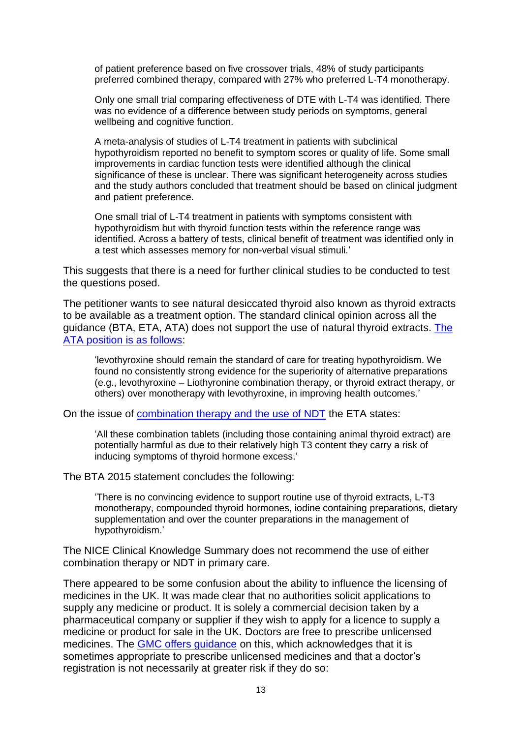of patient preference based on five crossover trials, 48% of study participants preferred combined therapy, compared with 27% who preferred L-T4 monotherapy.

Only one small trial comparing effectiveness of DTE with L-T4 was identified. There was no evidence of a difference between study periods on symptoms, general wellbeing and cognitive function.

A meta-analysis of studies of L-T4 treatment in patients with subclinical hypothyroidism reported no benefit to symptom scores or quality of life. Some small improvements in cardiac function tests were identified although the clinical significance of these is unclear. There was significant heterogeneity across studies and the study authors concluded that treatment should be based on clinical judgment and patient preference.

One small trial of L-T4 treatment in patients with symptoms consistent with hypothyroidism but with thyroid function tests within the reference range was identified. Across a battery of tests, clinical benefit of treatment was identified only in a test which assesses memory for non-verbal visual stimuli.'

This suggests that there is a need for further clinical studies to be conducted to test the questions posed.

The petitioner wants to see natural desiccated thyroid also known as thyroid extracts to be available as a treatment option. The standard clinical opinion across all the guidance (BTA, ETA, ATA) does not support the use of natural thyroid extracts. [The](https://www.ncbi.nlm.nih.gov/pubmed/25266247)  [ATA position is as follows:](https://www.ncbi.nlm.nih.gov/pubmed/25266247)

‗levothyroxine should remain the standard of care for treating hypothyroidism. We found no consistently strong evidence for the superiority of alternative preparations (e.g., levothyroxine – Liothyronine combination therapy, or thyroid extract therapy, or others) over monotherapy with levothyroxine, in improving health outcomes.'

On the issue of [combination therapy and the use of NDT](http://www.karger.com/Article/FullText/339444) the ETA states:

‗All these combination tablets (including those containing animal thyroid extract) are potentially harmful as due to their relatively high T3 content they carry a risk of inducing symptoms of thyroid hormone excess.'

The BTA 2015 statement concludes the following:

‗There is no convincing evidence to support routine use of thyroid extracts, L-T3 monotherapy, compounded thyroid hormones, iodine containing preparations, dietary supplementation and over the counter preparations in the management of hypothyroidism.'

The NICE Clinical Knowledge Summary does not recommend the use of either combination therapy or NDT in primary care.

There appeared to be some confusion about the ability to influence the licensing of medicines in the UK. It was made clear that no authorities solicit applications to supply any medicine or product. It is solely a commercial decision taken by a pharmaceutical company or supplier if they wish to apply for a licence to supply a medicine or product for sale in the UK. Doctors are free to prescribe unlicensed medicines. The [GMC offers guidance](http://www.gmc-uk.org/guidance/ethical_guidance/14327.asp) on this, which acknowledges that it is sometimes appropriate to prescribe unlicensed medicines and that a doctor's registration is not necessarily at greater risk if they do so: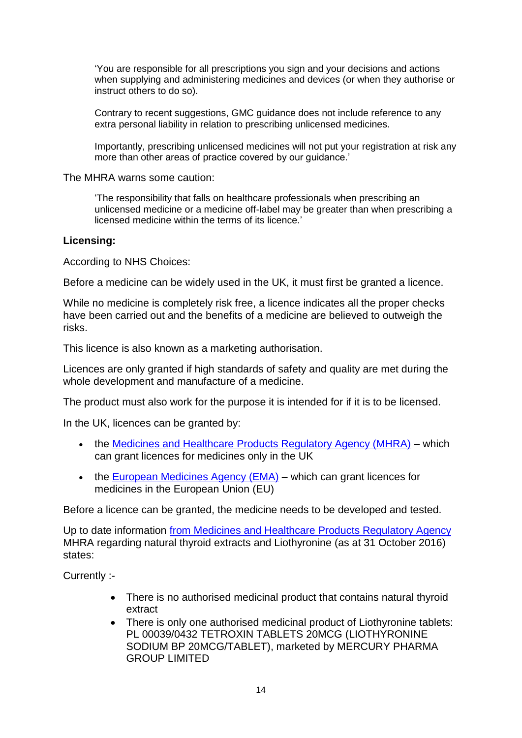‗You are responsible for all prescriptions you sign and your decisions and actions when supplying and administering medicines and devices (or when they authorise or instruct others to do so).

Contrary to recent suggestions, GMC guidance does not include reference to any extra personal liability in relation to prescribing unlicensed medicines.

Importantly, prescribing unlicensed medicines will not put your registration at risk any more than other areas of practice covered by our guidance.'

The MHRA warns some caution:

‗The responsibility that falls on healthcare professionals when prescribing an unlicensed medicine or a medicine off-label may be greater than when prescribing a licensed medicine within the terms of its licence.'

#### **Licensing:**

According to NHS Choices:

Before a medicine can be widely used in the UK, it must first be granted a licence.

While no medicine is completely risk free, a licence indicates all the proper checks have been carried out and the benefits of a medicine are believed to outweigh the risks.

This licence is also known as a marketing authorisation.

Licences are only granted if high standards of safety and quality are met during the whole development and manufacture of a medicine.

The product must also work for the purpose it is intended for if it is to be licensed.

In the UK, licences can be granted by:

- the [Medicines and Healthcare Products Regulatory Agency \(MHRA\)](http://www.mhra.gov.uk/index.htm) which can grant licences for medicines only in the UK
- $\bullet$  the European Medicines Agency ( $EMA$ ) which can grant licences for medicines in the European Union (EU)

Before a licence can be granted, the medicine needs to be developed and tested.

Up to date information from Medicines and Healthcare [Products Regulatory Agency](https://www.gov.uk/government/organisations/medicines-and-healthcare-products-regulatory-agency/about) MHRA regarding natural thyroid extracts and Liothyronine (as at 31 October 2016) states:

Currently :-

- There is no authorised medicinal product that contains natural thyroid extract
- There is only one authorised medicinal product of Liothyronine tablets: PL 00039/0432 TETROXIN TABLETS 20MCG (LIOTHYRONINE SODIUM BP 20MCG/TABLET), marketed by MERCURY PHARMA GROUP LIMITED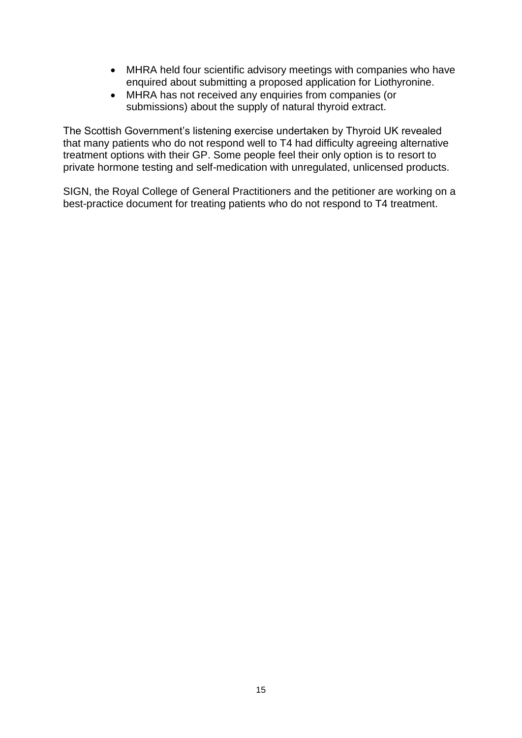- MHRA held four scientific advisory meetings with companies who have enquired about submitting a proposed application for Liothyronine.
- MHRA has not received any enquiries from companies (or submissions) about the supply of natural thyroid extract.

The Scottish Government's listening exercise undertaken by Thyroid UK revealed that many patients who do not respond well to T4 had difficulty agreeing alternative treatment options with their GP. Some people feel their only option is to resort to private hormone testing and self-medication with unregulated, unlicensed products.

SIGN, the Royal College of General Practitioners and the petitioner are working on a best-practice document for treating patients who do not respond to T4 treatment.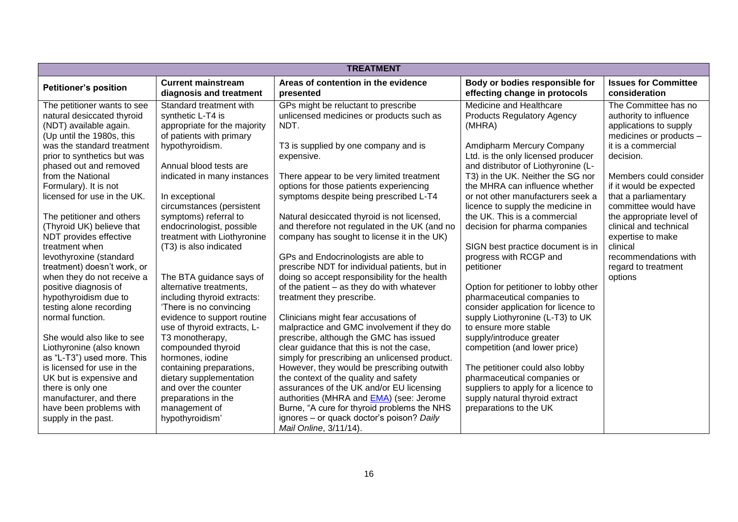| <b>TREATMENT</b>             |                                                      |                                                  |                                                                 |                                              |  |
|------------------------------|------------------------------------------------------|--------------------------------------------------|-----------------------------------------------------------------|----------------------------------------------|--|
| <b>Petitioner's position</b> | <b>Current mainstream</b><br>diagnosis and treatment | Areas of contention in the evidence<br>presented | Body or bodies responsible for<br>effecting change in protocols | <b>Issues for Committee</b><br>consideration |  |
| The petitioner wants to see  | Standard treatment with                              | GPs might be reluctant to prescribe              | Medicine and Healthcare                                         | The Committee has no                         |  |
| natural desiccated thyroid   | synthetic L-T4 is                                    | unlicensed medicines or products such as         | <b>Products Regulatory Agency</b>                               | authority to influence                       |  |
| (NDT) available again.       | appropriate for the majority                         | NDT.                                             | (MHRA)                                                          | applications to supply                       |  |
| (Up until the 1980s, this    | of patients with primary                             |                                                  |                                                                 | medicines or products -                      |  |
| was the standard treatment   | hypothyroidism.                                      | T3 is supplied by one company and is             | Amdipharm Mercury Company                                       | it is a commercial                           |  |
| prior to synthetics but was  |                                                      | expensive.                                       | Ltd. is the only licensed producer                              | decision.                                    |  |
| phased out and removed       | Annual blood tests are                               |                                                  | and distributor of Liothyronine (L-                             |                                              |  |
| from the National            | indicated in many instances                          | There appear to be very limited treatment        | T3) in the UK. Neither the SG nor                               | Members could consider                       |  |
| Formulary). It is not        |                                                      | options for those patients experiencing          | the MHRA can influence whether                                  | if it would be expected                      |  |
| licensed for use in the UK.  | In exceptional                                       | symptoms despite being prescribed L-T4           | or not other manufacturers seek a                               | that a parliamentary                         |  |
|                              | circumstances (persistent                            |                                                  | licence to supply the medicine in                               | committee would have                         |  |
| The petitioner and others    | symptoms) referral to                                | Natural desiccated thyroid is not licensed,      | the UK. This is a commercial                                    | the appropriate level of                     |  |
| (Thyroid UK) believe that    | endocrinologist, possible                            | and therefore not regulated in the UK (and no    | decision for pharma companies                                   | clinical and technical                       |  |
| NDT provides effective       | treatment with Liothyronine                          | company has sought to license it in the UK)      |                                                                 | expertise to make                            |  |
| treatment when               | (T3) is also indicated                               |                                                  | SIGN best practice document is in                               | clinical                                     |  |
| levothyroxine (standard      |                                                      | GPs and Endocrinologists are able to             | progress with RCGP and                                          | recommendations with                         |  |
| treatment) doesn't work, or  |                                                      | prescribe NDT for individual patients, but in    | petitioner                                                      | regard to treatment                          |  |
| when they do not receive a   | The BTA guidance says of                             | doing so accept responsibility for the health    |                                                                 | options                                      |  |
| positive diagnosis of        | alternative treatments,                              | of the patient - as they do with whatever        | Option for petitioner to lobby other                            |                                              |  |
| hypothyroidism due to        | including thyroid extracts:                          | treatment they prescribe.                        | pharmaceutical companies to                                     |                                              |  |
| testing alone recording      | 'There is no convincing                              |                                                  | consider application for licence to                             |                                              |  |
| normal function.             | evidence to support routine                          | Clinicians might fear accusations of             | supply Liothyronine (L-T3) to UK                                |                                              |  |
|                              | use of thyroid extracts, L-                          | malpractice and GMC involvement if they do       | to ensure more stable                                           |                                              |  |
| She would also like to see   | T3 monotherapy,                                      | prescribe, although the GMC has issued           | supply/introduce greater                                        |                                              |  |
| Liothyronine (also known     | compounded thyroid                                   | clear guidance that this is not the case,        | competition (and lower price)                                   |                                              |  |
| as "L-T3") used more. This   | hormones, iodine                                     | simply for prescribing an unlicensed product.    |                                                                 |                                              |  |
| is licensed for use in the   | containing preparations,                             | However, they would be prescribing outwith       | The petitioner could also lobby                                 |                                              |  |
| UK but is expensive and      | dietary supplementation                              | the context of the quality and safety            | pharmaceutical companies or                                     |                                              |  |
| there is only one            | and over the counter                                 | assurances of the UK and/or EU licensing         | suppliers to apply for a licence to                             |                                              |  |
| manufacturer, and there      | preparations in the                                  | authorities (MHRA and <b>EMA</b> ) (see: Jerome  | supply natural thyroid extract                                  |                                              |  |
| have been problems with      | management of                                        | Burne, "A cure for thyroid problems the NHS      | preparations to the UK                                          |                                              |  |
| supply in the past.          | hypothyroidism'                                      | ignores - or quack doctor's poison? Daily        |                                                                 |                                              |  |
|                              |                                                      | Mail Online, 3/11/14).                           |                                                                 |                                              |  |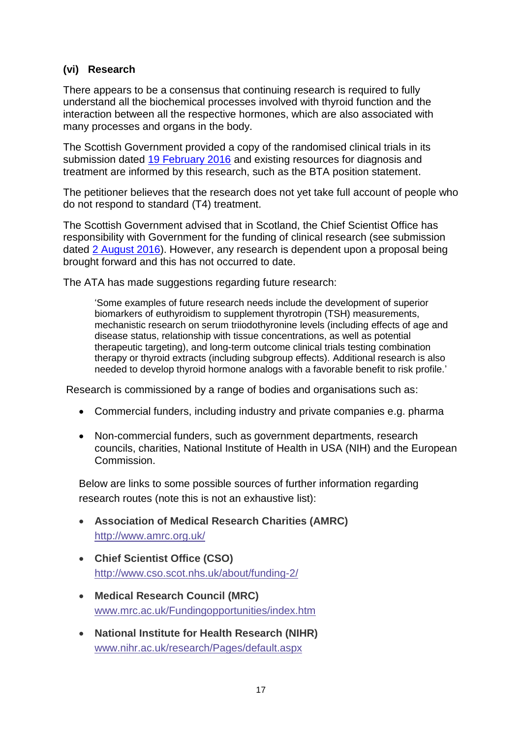# **(vi) Research**

There appears to be a consensus that continuing research is required to fully understand all the biochemical processes involved with thyroid function and the interaction between all the respective hormones, which are also associated with many processes and organs in the body.

The Scottish Government provided a copy of the randomised clinical trials in its submission dated [19 February 2016](http://external.parliament.scot/S4_PublicPetitionsCommittee/General%20Documents/20160219_PE1463_GGG_Scottish_Government.pdf) and existing resources for diagnosis and treatment are informed by this research, such as the BTA position statement.

The petitioner believes that the research does not yet take full account of people who do not respond to standard (T4) treatment.

The Scottish Government advised that in Scotland, the Chief Scientist Office has responsibility with Government for the funding of clinical research (see submission dated [2 August 2016\)](http://external.parliament.scot/S5_PublicPetitionsCommittee/Petitions/PE146320160704HealthcareQualityandStrategyDirectorateResponse.pdf). However, any research is dependent upon a proposal being brought forward and this has not occurred to date.

The ATA has made suggestions regarding future research:

‗Some examples of future research needs include the development of superior biomarkers of euthyroidism to supplement thyrotropin (TSH) measurements, mechanistic research on serum triiodothyronine levels (including effects of age and disease status, relationship with tissue concentrations, as well as potential therapeutic targeting), and long-term outcome clinical trials testing combination therapy or thyroid extracts (including subgroup effects). Additional research is also needed to develop thyroid hormone analogs with a favorable benefit to risk profile.'

Research is commissioned by a range of bodies and organisations such as:

- Commercial funders, including industry and private companies e.g. pharma
- Non-commercial funders, such as government departments, research councils, charities, National Institute of Health in USA (NIH) and the European Commission.

Below are links to some possible sources of further information regarding research routes (note this is not an exhaustive list):

- **Association of Medical Research Charities (AMRC)** <http://www.amrc.org.uk/>
- **Chief Scientist Office (CSO)** <http://www.cso.scot.nhs.uk/about/funding-2/>
- **Medical Research Council (MRC)** [www.mrc.ac.uk/Fundingopportunities/index.htm](http://www.mrc.ac.uk/Fundingopportunities/index.htm)
- **National Institute for Health Research (NIHR)** [www.nihr.ac.uk/research/Pages/default.aspx](http://www.nihr.ac.uk/research/Pages/default.aspx)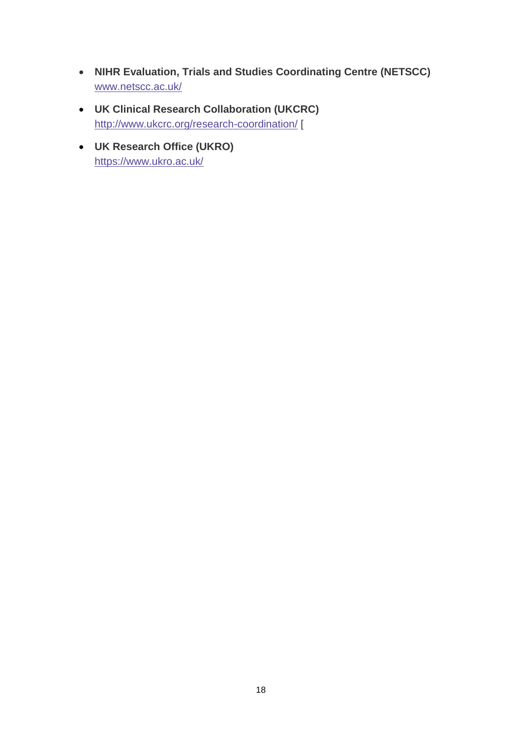- **NIHR Evaluation, Trials and Studies Coordinating Centre (NETSCC)** [www.netscc.ac.uk/](http://www.netscc.ac.uk/)
- **UK Clinical Research Collaboration (UKCRC)** <http://www.ukcrc.org/research-coordination/> [
- **UK Research Office (UKRO)** <https://www.ukro.ac.uk/>